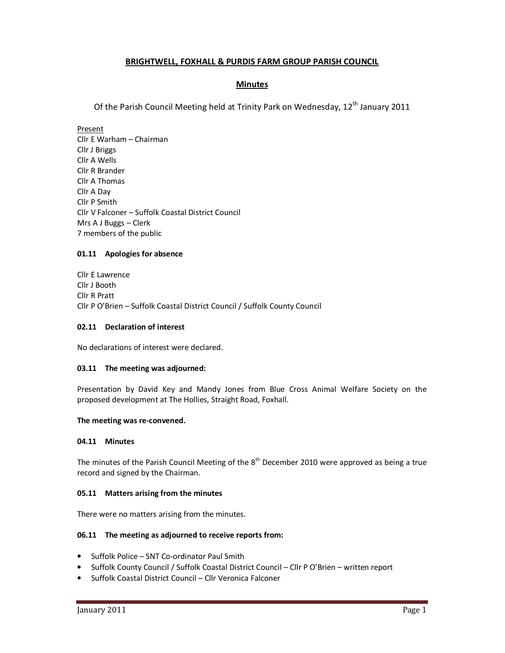# **BRIGHTWELL, FOXHALL & PURDIS FARM GROUP PARISH COUNCIL**

# **Minutes**

Of the Parish Council Meeting held at Trinity Park on Wednesday, 12<sup>th</sup> January 2011

Present Cllr E Warham – Chairman Cllr J Briggs Cllr A Wells Cllr R Brander Cllr A Thomas Cllr A Day Cllr P Smith Cllr V Falconer – Suffolk Coastal District Council Mrs A J Buggs – Clerk 7 members of the public

# **01.11 Apologies for absence**

Cllr E Lawrence Cllr J Booth Cllr R Pratt Cllr P O'Brien – Suffolk Coastal District Council / Suffolk County Council

## **02.11 Declaration of interest**

No declarations of interest were declared.

## **03.11 The meeting was adjourned:**

Presentation by David Key and Mandy Jones from Blue Cross Animal Welfare Society on the proposed development at The Hollies, Straight Road, Foxhall.

## **The meeting was re-convened.**

# **04.11 Minutes**

The minutes of the Parish Council Meeting of the  $8<sup>th</sup>$  December 2010 were approved as being a true record and signed by the Chairman.

## **05.11 Matters arising from the minutes**

There were no matters arising from the minutes.

## **06.11 The meeting as adjourned to receive reports from:**

- Suffolk Police SNT Co-ordinator Paul Smith
- Suffolk County Council / Suffolk Coastal District Council Cllr P O'Brien written report
- Suffolk Coastal District Council Cllr Veronica Falconer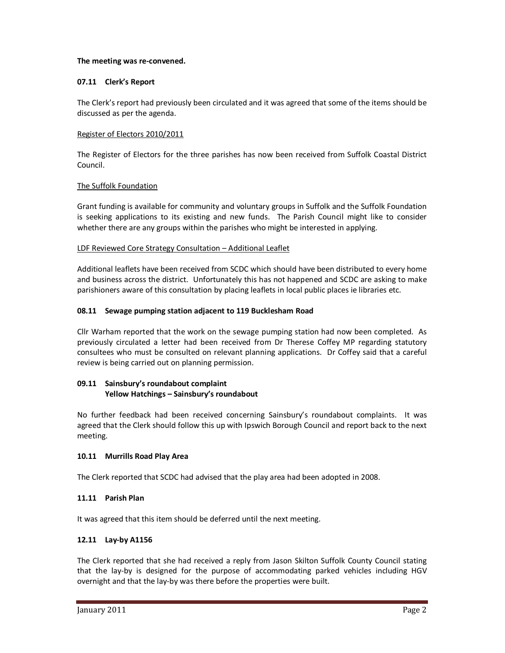## **The meeting was re-convened.**

# **07.11 Clerk's Report**

The Clerk's report had previously been circulated and it was agreed that some of the items should be discussed as per the agenda.

# Register of Electors 2010/2011

The Register of Electors for the three parishes has now been received from Suffolk Coastal District Council.

## The Suffolk Foundation

Grant funding is available for community and voluntary groups in Suffolk and the Suffolk Foundation is seeking applications to its existing and new funds. The Parish Council might like to consider whether there are any groups within the parishes who might be interested in applying.

## LDF Reviewed Core Strategy Consultation – Additional Leaflet

Additional leaflets have been received from SCDC which should have been distributed to every home and business across the district. Unfortunately this has not happened and SCDC are asking to make parishioners aware of this consultation by placing leaflets in local public places ie libraries etc.

## **08.11 Sewage pumping station adjacent to 119 Bucklesham Road**

Cllr Warham reported that the work on the sewage pumping station had now been completed. As previously circulated a letter had been received from Dr Therese Coffey MP regarding statutory consultees who must be consulted on relevant planning applications. Dr Coffey said that a careful review is being carried out on planning permission.

# **09.11 Sainsbury's roundabout complaint Yellow Hatchings – Sainsbury's roundabout**

No further feedback had been received concerning Sainsbury's roundabout complaints. It was agreed that the Clerk should follow this up with Ipswich Borough Council and report back to the next meeting.

## **10.11 Murrills Road Play Area**

The Clerk reported that SCDC had advised that the play area had been adopted in 2008.

# **11.11 Parish Plan**

It was agreed that this item should be deferred until the next meeting.

# **12.11 Lay-by A1156**

The Clerk reported that she had received a reply from Jason Skilton Suffolk County Council stating that the lay-by is designed for the purpose of accommodating parked vehicles including HGV overnight and that the lay-by was there before the properties were built.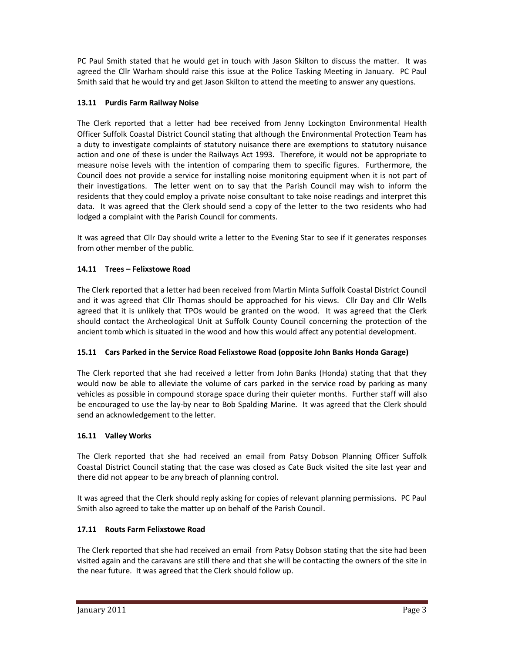PC Paul Smith stated that he would get in touch with Jason Skilton to discuss the matter. It was agreed the Cllr Warham should raise this issue at the Police Tasking Meeting in January. PC Paul Smith said that he would try and get Jason Skilton to attend the meeting to answer any questions.

# **13.11 Purdis Farm Railway Noise**

The Clerk reported that a letter had bee received from Jenny Lockington Environmental Health Officer Suffolk Coastal District Council stating that although the Environmental Protection Team has a duty to investigate complaints of statutory nuisance there are exemptions to statutory nuisance action and one of these is under the Railways Act 1993. Therefore, it would not be appropriate to measure noise levels with the intention of comparing them to specific figures. Furthermore, the Council does not provide a service for installing noise monitoring equipment when it is not part of their investigations. The letter went on to say that the Parish Council may wish to inform the residents that they could employ a private noise consultant to take noise readings and interpret this data. It was agreed that the Clerk should send a copy of the letter to the two residents who had lodged a complaint with the Parish Council for comments.

It was agreed that Cllr Day should write a letter to the Evening Star to see if it generates responses from other member of the public.

# **14.11 Trees – Felixstowe Road**

The Clerk reported that a letter had been received from Martin Minta Suffolk Coastal District Council and it was agreed that Cllr Thomas should be approached for his views. Cllr Day and Cllr Wells agreed that it is unlikely that TPOs would be granted on the wood. It was agreed that the Clerk should contact the Archeological Unit at Suffolk County Council concerning the protection of the ancient tomb which is situated in the wood and how this would affect any potential development.

# **15.11 Cars Parked in the Service Road Felixstowe Road (opposite John Banks Honda Garage)**

The Clerk reported that she had received a letter from John Banks (Honda) stating that that they would now be able to alleviate the volume of cars parked in the service road by parking as many vehicles as possible in compound storage space during their quieter months. Further staff will also be encouraged to use the lay-by near to Bob Spalding Marine. It was agreed that the Clerk should send an acknowledgement to the letter.

# **16.11 Valley Works**

The Clerk reported that she had received an email from Patsy Dobson Planning Officer Suffolk Coastal District Council stating that the case was closed as Cate Buck visited the site last year and there did not appear to be any breach of planning control.

It was agreed that the Clerk should reply asking for copies of relevant planning permissions. PC Paul Smith also agreed to take the matter up on behalf of the Parish Council.

# **17.11 Routs Farm Felixstowe Road**

The Clerk reported that she had received an email from Patsy Dobson stating that the site had been visited again and the caravans are still there and that she will be contacting the owners of the site in the near future. It was agreed that the Clerk should follow up.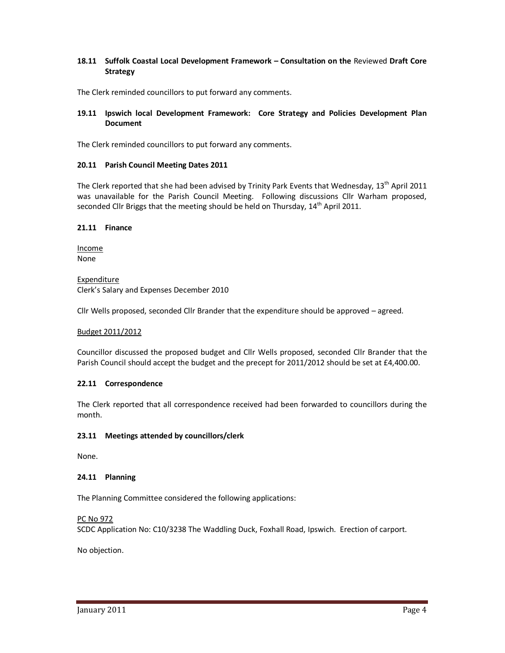## **18.11 Suffolk Coastal Local Development Framework – Consultation on the** Reviewed **Draft Core Strategy**

The Clerk reminded councillors to put forward any comments.

## **19.11 Ipswich local Development Framework: Core Strategy and Policies Development Plan Document**

The Clerk reminded councillors to put forward any comments.

#### **20.11 Parish Council Meeting Dates 2011**

The Clerk reported that she had been advised by Trinity Park Events that Wednesday, 13<sup>th</sup> April 2011 was unavailable for the Parish Council Meeting. Following discussions Cllr Warham proposed, seconded Cllr Briggs that the meeting should be held on Thursday,  $14<sup>th</sup>$  April 2011.

#### **21.11 Finance**

Income None

Expenditure Clerk's Salary and Expenses December 2010

Cllr Wells proposed, seconded Cllr Brander that the expenditure should be approved – agreed.

#### Budget 2011/2012

Councillor discussed the proposed budget and Cllr Wells proposed, seconded Cllr Brander that the Parish Council should accept the budget and the precept for 2011/2012 should be set at £4,400.00.

#### **22.11 Correspondence**

The Clerk reported that all correspondence received had been forwarded to councillors during the month.

#### **23.11 Meetings attended by councillors/clerk**

None.

## **24.11 Planning**

The Planning Committee considered the following applications:

## PC No 972

SCDC Application No: C10/3238 The Waddling Duck, Foxhall Road, Ipswich. Erection of carport.

No objection.